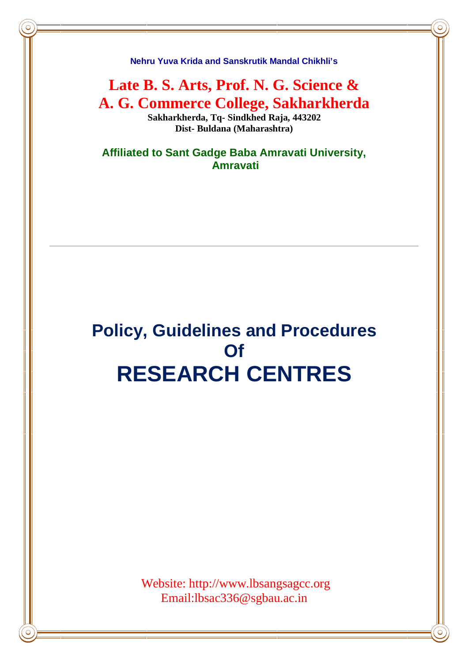**Nehru Yuva Krida and Sanskrutik Mandal Chikhli's**

**Late B. S. Arts, Prof. N. G. Science & A. G. Commerce College, Sakharkherda Sakharkherda, Tq- Sindkhed Raja, 443202**

**Dist- Buldana (Maharashtra)**

**Affiliated to Sant Gadge Baba Amravati University, Amravati**

# **Policy, Guidelines and Procedures Of RESEARCH CENTRES**

Website: http://www.lbsangsagcc.org Email:lbsac336@sgbau.ac.in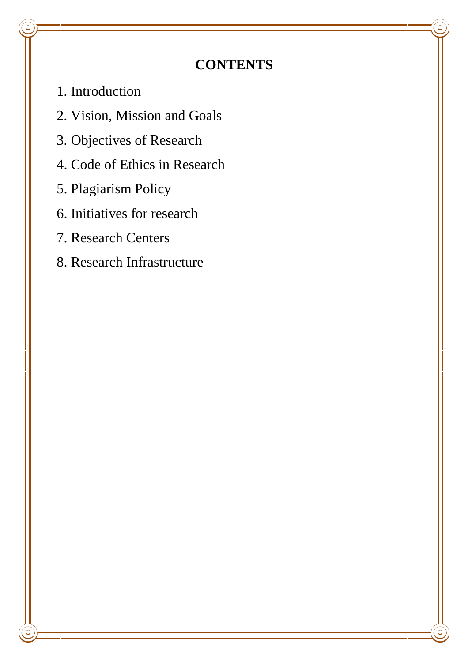# **CONTENTS**

- 1. Introduction
- 2. Vision, Mission and Goals
- 3. Objectives of Research
- 4. Code of Ethics in Research
- 5. Plagiarism Policy
- 6. Initiatives for research
- 7. Research Centers
- 8. Research Infrastructure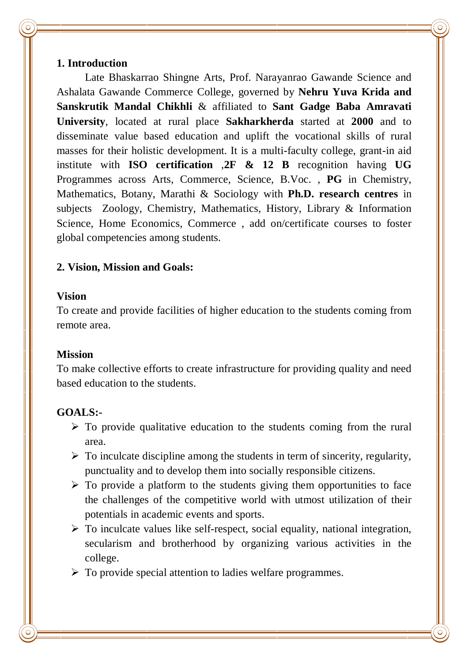#### **1. Introduction**

Late Bhaskarrao Shingne Arts, Prof. Narayanrao Gawande Science and Ashalata Gawande Commerce College, governed by **Nehru Yuva Krida and Sanskrutik Mandal Chikhli** & affiliated to **Sant Gadge Baba Amravati University**, located at rural place **Sakharkherda** started at **2000** and to disseminate value based education and uplift the vocational skills of rural masses for their holistic development. It is a multi-faculty college, grant-in aid institute with **ISO certification** ,**2F & 12 B** recognition having **UG**  Programmes across Arts, Commerce, Science, B.Voc. , **PG** in Chemistry, Mathematics, Botany, Marathi & Sociology with **Ph.D. research centres** in subjects Zoology, Chemistry, Mathematics, History, Library & Information Science, Home Economics, Commerce , add on/certificate courses to foster global competencies among students.

# **2. Vision, Mission and Goals:**

#### **Vision**

To create and provide facilities of higher education to the students coming from remote area.

#### **Mission**

To make collective efforts to create infrastructure for providing quality and need based education to the students.

#### **GOALS:-**

- $\triangleright$  To provide qualitative education to the students coming from the rural area.
- $\triangleright$  To inculcate discipline among the students in term of sincerity, regularity, punctuality and to develop them into socially responsible citizens.
- $\triangleright$  To provide a platform to the students giving them opportunities to face the challenges of the competitive world with utmost utilization of their potentials in academic events and sports.
- $\triangleright$  To inculcate values like self-respect, social equality, national integration, secularism and brotherhood by organizing various activities in the college.

 $\triangleright$  To provide special attention to ladies welfare programmes.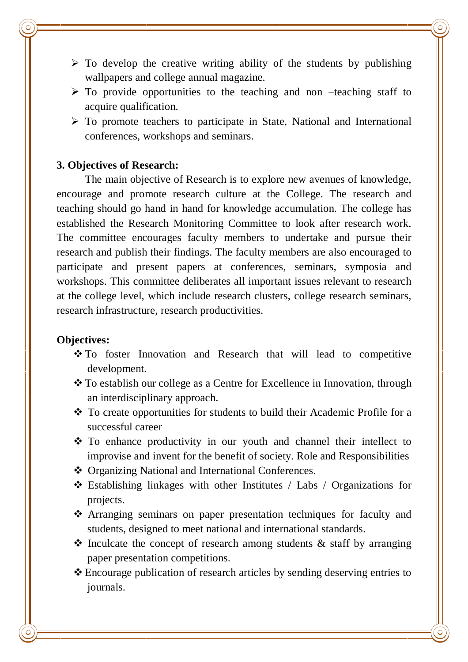- $\triangleright$  To develop the creative writing ability of the students by publishing wallpapers and college annual magazine.
- $\triangleright$  To provide opportunities to the teaching and non –teaching staff to acquire qualification.
- $\triangleright$  To promote teachers to participate in State, National and International conferences, workshops and seminars.

#### **3. Objectives of Research:**

The main objective of Research is to explore new avenues of knowledge, encourage and promote research culture at the College. The research and teaching should go hand in hand for knowledge accumulation. The college has established the Research Monitoring Committee to look after research work. The committee encourages faculty members to undertake and pursue their research and publish their findings. The faculty members are also encouraged to participate and present papers at conferences, seminars, symposia and workshops. This committee deliberates all important issues relevant to research at the college level, which include research clusters, college research seminars, research infrastructure, research productivities.

#### **Objectives:**

- \* To foster Innovation and Research that will lead to competitive development.
- To establish our college as a Centre for Excellence in Innovation, through an interdisciplinary approach.
- \* To create opportunities for students to build their Academic Profile for a successful career
- To enhance productivity in our youth and channel their intellect to improvise and invent for the benefit of society. Role and Responsibilities
- ❖ Organizing National and International Conferences.
- Establishing linkages with other Institutes / Labs / Organizations for projects.
- Arranging seminars on paper presentation techniques for faculty and students, designed to meet national and international standards.
- $\triangle$  Inculcate the concept of research among students  $\&$  staff by arranging paper presentation competitions.
- Encourage publication of research articles by sending deserving entries to journals.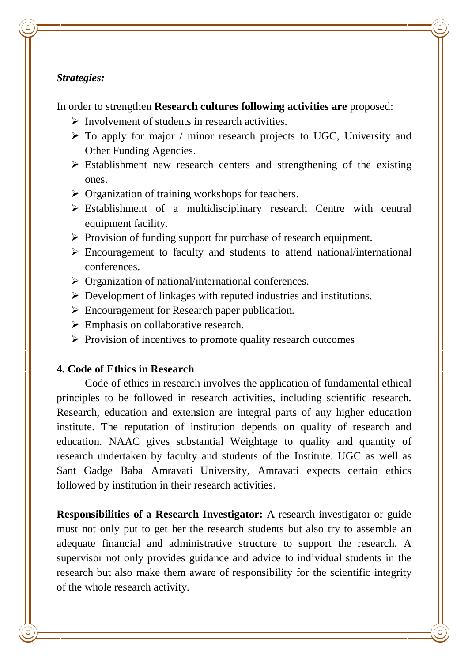#### *Strategies:*

In order to strengthen **Research cultures following activities are** proposed:

- $\triangleright$  Involvement of students in research activities.
- $\triangleright$  To apply for major / minor research projects to UGC, University and Other Funding Agencies.
- $\triangleright$  Establishment new research centers and strengthening of the existing ones.
- $\triangleright$  Organization of training workshops for teachers.
- $\triangleright$  Establishment of a multidisciplinary research Centre with central equipment facility.
- $\triangleright$  Provision of funding support for purchase of research equipment.
- $\triangleright$  Encouragement to faculty and students to attend national/international conferences.
- $\triangleright$  Organization of national/international conferences.
- $\triangleright$  Development of linkages with reputed industries and institutions.
- Encouragement for Research paper publication.
- $\triangleright$  Emphasis on collaborative research.
- $\triangleright$  Provision of incentives to promote quality research outcomes

#### **4. Code of Ethics in Research**

Code of ethics in research involves the application of fundamental ethical principles to be followed in research activities, including scientific research. Research, education and extension are integral parts of any higher education institute. The reputation of institution depends on quality of research and education. NAAC gives substantial Weightage to quality and quantity of research undertaken by faculty and students of the Institute. UGC as well as Sant Gadge Baba Amravati University, Amravati expects certain ethics followed by institution in their research activities.

**Responsibilities of a Research Investigator:** A research investigator or guide must not only put to get her the research students but also try to assemble an adequate financial and administrative structure to support the research. A supervisor not only provides guidance and advice to individual students in the research but also make them aware of responsibility for the scientific integrity of the whole research activity.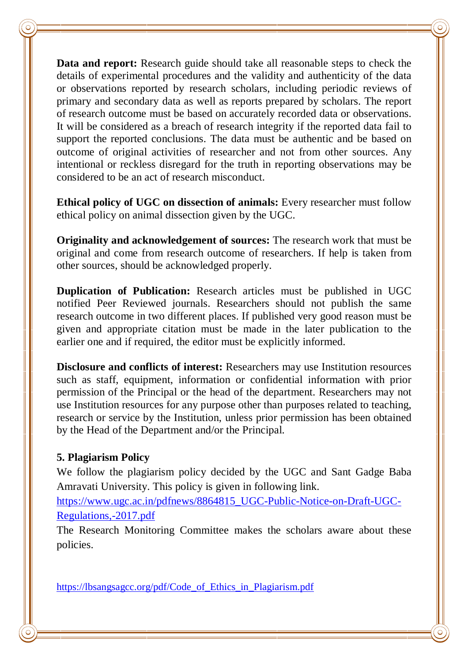**Data and report:** Research guide should take all reasonable steps to check the details of experimental procedures and the validity and authenticity of the data or observations reported by research scholars, including periodic reviews of primary and secondary data as well as reports prepared by scholars. The report of research outcome must be based on accurately recorded data or observations. It will be considered as a breach of research integrity if the reported data fail to support the reported conclusions. The data must be authentic and be based on outcome of original activities of researcher and not from other sources. Any intentional or reckless disregard for the truth in reporting observations may be considered to be an act of research misconduct.

**Ethical policy of UGC on dissection of animals:** Every researcher must follow ethical policy on animal dissection given by the UGC.

**Originality and acknowledgement of sources:** The research work that must be original and come from research outcome of researchers. If help is taken from other sources, should be acknowledged properly.

**Duplication of Publication:** Research articles must be published in UGC notified Peer Reviewed journals. Researchers should not publish the same research outcome in two different places. If published very good reason must be given and appropriate citation must be made in the later publication to the earlier one and if required, the editor must be explicitly informed.

**Disclosure and conflicts of interest:** Researchers may use Institution resources such as staff, equipment, information or confidential information with prior permission of the Principal or the head of the department. Researchers may not use Institution resources for any purpose other than purposes related to teaching, research or service by the Institution, unless prior permission has been obtained by the Head of the Department and/or the Principal.

# **5. Plagiarism Policy**

We follow the plagiarism policy decided by the UGC and Sant Gadge Baba Amravati University. This policy is given in following link.

https://www.ugc.ac.in/pdfnews/8864815\_UGC-Public-Notice-on-Draft-UGC-Regulations,-2017.pdf

The Research Monitoring Committee makes the scholars aware about these policies.

https://lbsangsagcc.org/pdf/Code\_of\_Ethics\_in\_Plagiarism.pdf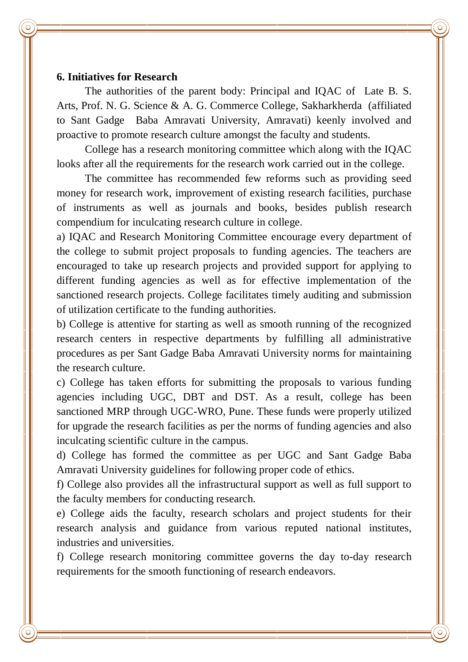#### **6. Initiatives for Research**

The authorities of the parent body: Principal and IQAC of Late B. S. Arts, Prof. N. G. Science & A. G. Commerce College, Sakharkherda (affiliated to Sant Gadge Baba Amravati University, Amravati) keenly involved and proactive to promote research culture amongst the faculty and students.

College has a research monitoring committee which along with the IQAC looks after all the requirements for the research work carried out in the college.

The committee has recommended few reforms such as providing seed money for research work, improvement of existing research facilities, purchase of instruments as well as journals and books, besides publish research compendium for inculcating research culture in college.

a) IQAC and Research Monitoring Committee encourage every department of the college to submit project proposals to funding agencies. The teachers are encouraged to take up research projects and provided support for applying to different funding agencies as well as for effective implementation of the sanctioned research projects. College facilitates timely auditing and submission of utilization certificate to the funding authorities.

b) College is attentive for starting as well as smooth running of the recognized research centers in respective departments by fulfilling all administrative procedures as per Sant Gadge Baba Amravati University norms for maintaining the research culture.

c) College has taken efforts for submitting the proposals to various funding agencies including UGC, DBT and DST. As a result, college has been sanctioned MRP through UGC-WRO, Pune. These funds were properly utilized for upgrade the research facilities as per the norms of funding agencies and also inculcating scientific culture in the campus.

d) College has formed the committee as per UGC and Sant Gadge Baba Amravati University guidelines for following proper code of ethics.

f) College also provides all the infrastructural support as well as full support to the faculty members for conducting research.

e) College aids the faculty, research scholars and project students for their research analysis and guidance from various reputed national institutes, industries and universities.

f) College research monitoring committee governs the day to-day research requirements for the smooth functioning of research endeavors.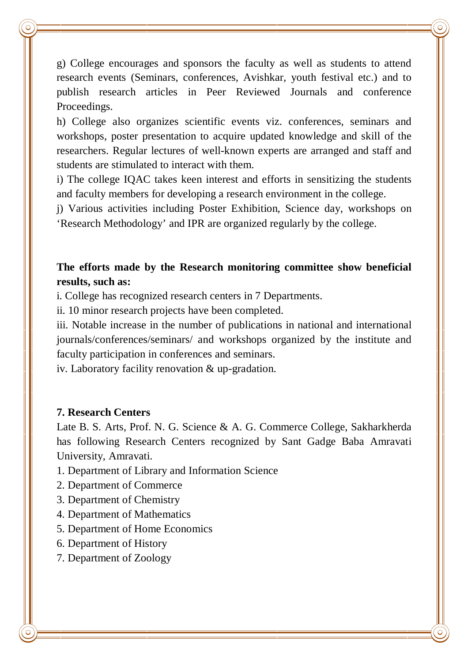g) College encourages and sponsors the faculty as well as students to attend research events (Seminars, conferences, Avishkar, youth festival etc.) and to publish research articles in Peer Reviewed Journals and conference Proceedings.

h) College also organizes scientific events viz. conferences, seminars and workshops, poster presentation to acquire updated knowledge and skill of the researchers. Regular lectures of well-known experts are arranged and staff and students are stimulated to interact with them.

i) The college IQAC takes keen interest and efforts in sensitizing the students and faculty members for developing a research environment in the college.

j) Various activities including Poster Exhibition, Science day, workshops on 'Research Methodology' and IPR are organized regularly by the college.

# **The efforts made by the Research monitoring committee show beneficial results, such as:**

i. College has recognized research centers in 7 Departments.

ii. 10 minor research projects have been completed.

iii. Notable increase in the number of publications in national and international journals/conferences/seminars/ and workshops organized by the institute and faculty participation in conferences and seminars.

iv. Laboratory facility renovation & up-gradation.

# **7. Research Centers**

Late B. S. Arts, Prof. N. G. Science & A. G. Commerce College, Sakharkherda has following Research Centers recognized by Sant Gadge Baba Amravati University, Amravati.

- 1. Department of Library and Information Science
- 2. Department of Commerce
- 3. Department of Chemistry
- 4. Department of Mathematics
- 5. Department of Home Economics
- 6. Department of History
- 7. Department of Zoology